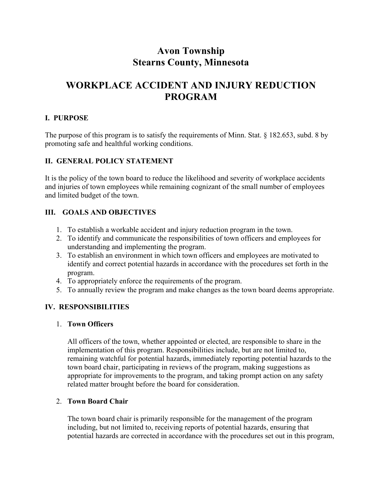# **Avon Township Stearns County, Minnesota**

# **WORKPLACE ACCIDENT AND INJURY REDUCTION PROGRAM**

## **I. PURPOSE**

The purpose of this program is to satisfy the requirements of Minn. Stat. § 182.653, subd. 8 by promoting safe and healthful working conditions.

## **II. GENERAL POLICY STATEMENT**

It is the policy of the town board to reduce the likelihood and severity of workplace accidents and injuries of town employees while remaining cognizant of the small number of employees and limited budget of the town.

## **III. GOALS AND OBJECTIVES**

- 1. To establish a workable accident and injury reduction program in the town.
- 2. To identify and communicate the responsibilities of town officers and employees for understanding and implementing the program.
- 3. To establish an environment in which town officers and employees are motivated to identify and correct potential hazards in accordance with the procedures set forth in the program.
- 4. To appropriately enforce the requirements of the program.
- 5. To annually review the program and make changes as the town board deems appropriate.

## **IV. RESPONSIBILITIES**

### 1. **Town Officers**

All officers of the town, whether appointed or elected, are responsible to share in the implementation of this program. Responsibilities include, but are not limited to, remaining watchful for potential hazards, immediately reporting potential hazards to the town board chair, participating in reviews of the program, making suggestions as appropriate for improvements to the program, and taking prompt action on any safety related matter brought before the board for consideration.

## 2. **Town Board Chair**

The town board chair is primarily responsible for the management of the program including, but not limited to, receiving reports of potential hazards, ensuring that potential hazards are corrected in accordance with the procedures set out in this program,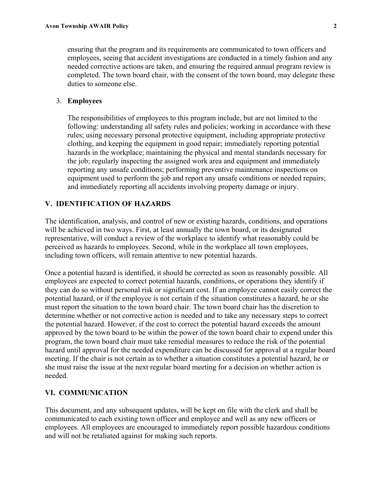ensuring that the program and its requirements are communicated to town officers and employees, seeing that accident investigations are conducted in a timely fashion and any needed corrective actions are taken, and ensuring the required annual program review is completed. The town board chair, with the consent of the town board, may delegate these duties to someone else.

#### 3. **Employees**

The responsibilities of employees to this program include, but are not limited to the following: understanding all safety rules and policies; working in accordance with these rules; using necessary personal protective equipment, including appropriate protective clothing, and keeping the equipment in good repair; immediately reporting potential hazards in the workplace; maintaining the physical and mental standards necessary for the job; regularly inspecting the assigned work area and equipment and immediately reporting any unsafe conditions; performing preventive maintenance inspections on equipment used to perform the job and report any unsafe conditions or needed repairs; and immediately reporting all accidents involving property damage or injury.

#### **V. IDENTIFICATION OF HAZARDS**

The identification, analysis, and control of new or existing hazards, conditions, and operations will be achieved in two ways. First, at least annually the town board, or its designated representative, will conduct a review of the workplace to identify what reasonably could be perceived as hazards to employees. Second, while in the workplace all town employees, including town officers, will remain attentive to new potential hazards.

Once a potential hazard is identified, it should be corrected as soon as reasonably possible. All employees are expected to correct potential hazards, conditions, or operations they identify if they can do so without personal risk or significant cost. If an employee cannot easily correct the potential hazard, or if the employee is not certain if the situation constitutes a hazard, he or she must report the situation to the town board chair. The town board chair has the discretion to determine whether or not corrective action is needed and to take any necessary steps to correct the potential hazard. However, if the cost to correct the potential hazard exceeds the amount approved by the town board to be within the power of the town board chair to expend under this program, the town board chair must take remedial measures to reduce the risk of the potential hazard until approval for the needed expenditure can be discussed for approval at a regular board meeting. If the chair is not certain as to whether a situation constitutes a potential hazard, he or she must raise the issue at the next regular board meeting for a decision on whether action is needed.

#### **VI. COMMUNICATION**

This document, and any subsequent updates, will be kept on file with the clerk and shall be communicated to each existing town officer and employee and well as any new officers or employees. All employees are encouraged to immediately report possible hazardous conditions and will not be retaliated against for making such reports.